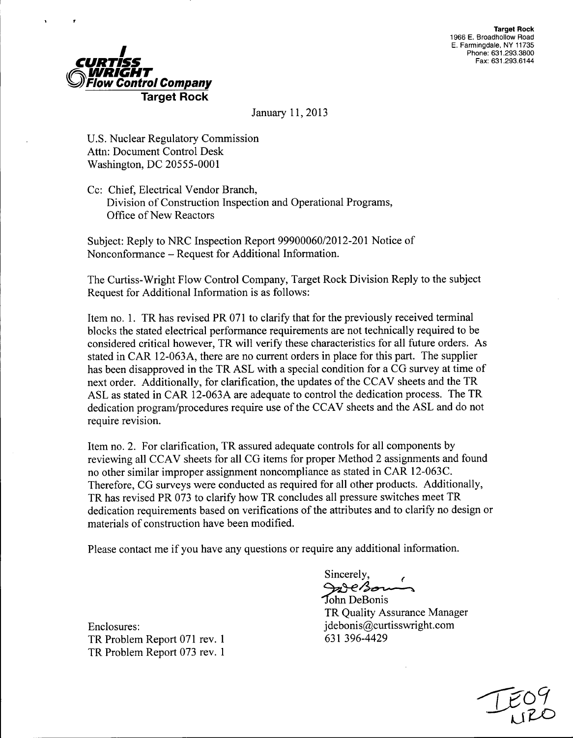

January 11, 2013

U.S. Nuclear Regulatory Commission Attn: Document Control Desk Washington, DC 20555-0001

Cc: Chief, Electrical Vendor Branch, Division of Construction Inspection and Operational Programs, Office of New Reactors

Subject: Reply to NRC Inspection Report 99900060/2012-201 Notice of Nonconformance - Request for Additional Information.

The Curtiss-Wright Flow Control Company, Target Rock Division Reply to the subject Request for Additional Information is as follows:

Item no. 1. TR has revised PR 071 to clarify that for the previously received terminal blocks the stated electrical performance requirements are not technically required to be considered critical however, TR will verify these characteristics for all future orders. As stated in CAR 12-063A, there are no current orders in place for this part. The supplier has been disapproved in the TR ASL with a special condition for a CG survey at time of next order. Additionally, for clarification, the updates of the CCAV sheets and the TR ASL as stated in CAR 12-063A are adequate to control the dedication process. The TR dedication program/procedures require use of the CCAV sheets and the ASL and do not require revision.

Item no. 2. For clarification, TR assured adequate controls for all components by reviewing all CCAV sheets for all CG items for proper Method 2 assignments and found no other similar improper assignment noncompliance as stated in CAR 12-063C. Therefore, CG surveys were conducted as required for all other products. Additionally, TR has revised PR 073 to clarify how TR concludes all pressure switches meet TR dedication requirements based on verifications of the attributes and to clarify no design or materials of construction have been modified.

Please contact me if you have any questions or require any additional information.

Enclosures: jdebonis@curtisswright.com TR Problem Report 071 rev. 1 631 396-4429 TR Problem Report 073 rev. 1

Sincerely, and Bonis<br>Tohn DeBonis

TR Quality Assurance Manager

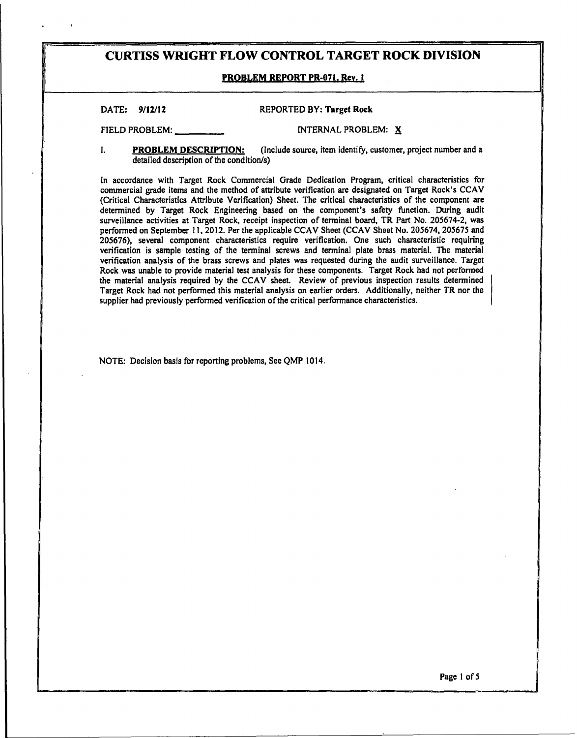#### PROBLEM REPORT PR-071. Rev. **I**

#### **DATE: 9/12/12** REPORTED BY: Target Rock

**FIELD PROBLEM: INTERNAL PROBLEM: X** 

#### **1.** PROBLEM **DESCRIPTION:** (Include source, item identify, customer, project number and a detailed description of the condition/s)

In accordance with Target Rock Commercial Grade Dedication Program, critical characteristics for commercial grade items and the method of attribute verification are designated on Target Rock's CCAV (Critical Characteristics Attribute Verification) Sheet. The critical characteristics of the component are determined by Target Rock Engineering based on the component's safety function. During audit surveillance activities at Target Rock, receipt inspection of terminal board, TR Part No. 205674-2, was performed on September **11,** 2012. Per the applicable CCAV Sheet (CCAV Sheet No. 205674, 205675 and 205676), several component characteristics require verification. One such characteristic requiring verification is sample testing of the terminal screws and terminal plate brass material. The material verification analysis of the brass screws and plates was requested during the audit surveillance. Target Rock was unable to provide material test analysis for these components. Target Rock had not performed the material an Target Rock had not performed this material analysis on earlier orders. Additionally, neither TR nor the supplier had previously performed verification of the critical performance characteristics.

NOTE: Decision basis for reporting problems, See QMP 1014.

Page 1 of **5**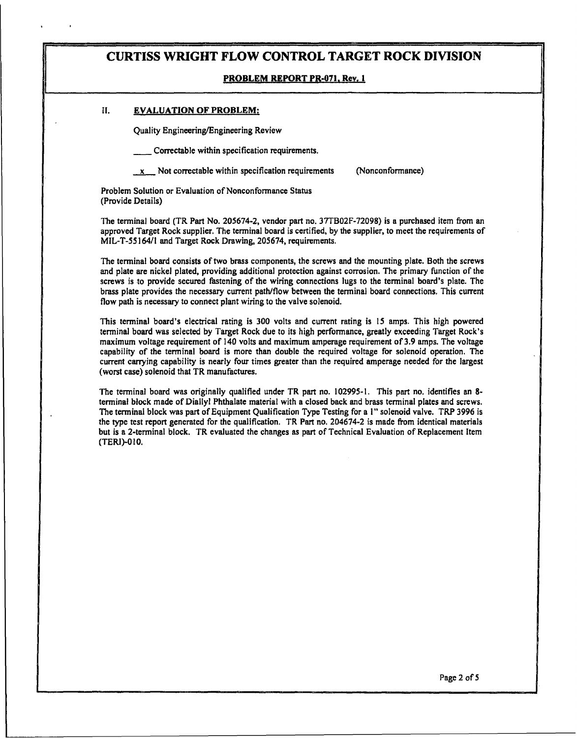#### **PROBLEM REPORT PR-071, Rev. 1**

#### **II. EVALUATION OF PROBLEM:**

Quality Engineering/Engineering Review

Correctable within specification requirements.

 $x$  Not correctable within specification requirements (Nonconformance)

Problem Solution or Evaluation of Nonconformance Status (Provide Details)

The terminal board (TR Part No. 205674-2, vendor part no. 37TB02F-72098) is a purchased item from an approved Target Rock supplier. The terminal board is certified, by the supplier, to meet the requirements of MIL-T-55164/1 and Target Rock Drawing, 205674, requirements.

The terminal board consists of two brass components, the screws and the mounting plate. Both the screws and plate are nickel plated, providing additional protection against corrosion. The primary function of the screws is to provide secured fastening of the wiring connections lugs to the terminal board's plate. The brass plate provides the necessary current path/flow between the terminal board connections, This current flow path is necessary to connect plant wiring to the valve solenoid.

This terminal board's electrical rating is 300 volts and current rating is **15** amps. This high powered terminal board was selected by Target Rock due to its high performance, greatly exceeding Target Rock's maximum voltage requirement of 140 volts and maximum amperage requirement of 3.9 amps. The voltage capability of the terminal board is more than double the required voltage for solenoid operation. The current carrying capability is nearly four times greater than the required amperage needed for the largest (worst case) solenoid that TR manufactures.

The terminal board was originally qualified under TR part no. 102995-1. This part no. identifies an **8** terminal block made of Diallyl Phthalate material with a closed back and brass terminal plates and screws. The terminal block was part of Equipment Qualification Type Testing for a I" solenoid valve. TRP 3996 is the type test report generated for the qualification. TR Part no. 204674-2 is made from identical materials but is a 2-terminal block. TR evaluated the changes as part of Technical Evaluation of Replacement Item (TERI)-0 10.

Page 2 of 5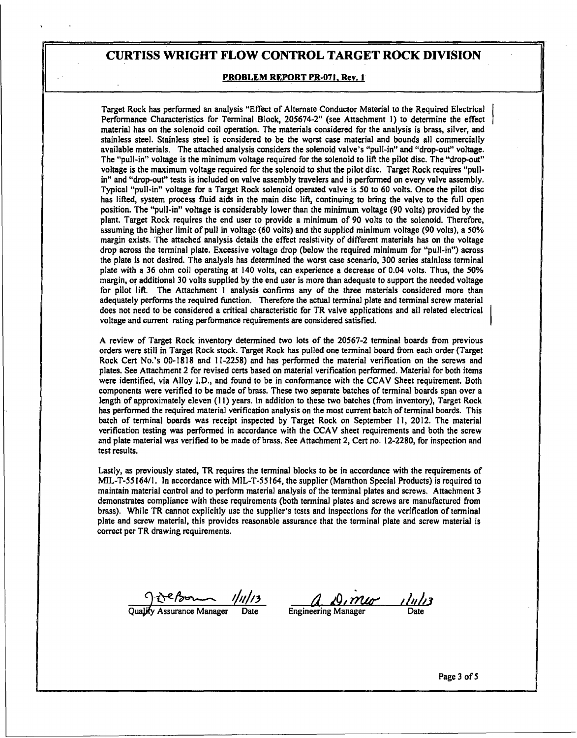#### PROBLEM REPORT PR-071, Rev. **I**

Target Rock has performed an analysis "Effect of Alternate Conductor Material to the Required Electrical Performance Characteristics for Terminal Block, **205674-2"** (see Attachment **1)** to determine the effect material has on the solenoid coil operation. The materials considered for the analysis is brass, silver, and stainless steel. Stainless steel is considered to be the worst case material and bounds all commercially available materials. The attached analysis considers the solenoid valve's "pull-in" and "drop-out" voltage. The "pull has lifted, system process fluid aids in the main disc lift, continuing to bring the valve to the full open<br>position. The "pull-in" voltage is considerably lower than the minimum voltage (90 volts) provided by the plant. Target Rock requires the end user to provide a minimum of 90 volts to the solenoid. Therefore, assuming the higher limit of pull in voltage (60 volts) and the supplied minimum voltage (90 volts), a 50% margin exists. The attached analysis details the effect resistivity of different materials has on the voltage drop across the terminal plate. Excessive voltage drop (below the required minimum for "pull-in") across the plate is not desired. The analysis has determined the worst case scenario, **300** series stainless terminal plate with a **36** ohm coil operating at 140 volts, can experience a decrease of 0.04 volts. Thus, the **50%** margin, or additional 30 volts supplied by the end user is more than adequate to support the needed voltage for<br>for pilot lift. The Attachment 1 analysis confirms any of the three materials considered more than adequately performs the required function. Therefore the actual terminal plate and terminal screw material does not need to be considered a critical characteristic for TR valve applications and all related electrical voltage and current rating performance requirements are considered satisfied.

A review of Target Rock inventory determined two lots of the 20567-2 terminal boards from previous orders were still in Target Rock stock. Target Rock has pulled one terminal board from each order (Target Rock Cert No.'s 0 plates. See Attachment 2 for revised certs based on material verification performed. Material for both items were identified, via Alloy **I.D.,** and found to be in conformance with the **CCAV** Sheet requirement. Both components were verified to be made of brass. These two separate batches of terminal boards span over a length of approximately eleven **(11)** years. In addition to these two batches (from inventory), Target Rock has performed the required material verification analysis on the most current batch of terminal boards. This batch of terminal boards was receipt inspected **by** Target Rock on September **11,** 2012. The material verification testing was performed in accordance with the **CCAV** sheet requirements and both the screw and plate material was verified to be made of brass. See Attachment 2, Cert no. **12-2280,** for inspection and test results.

Lastly, as previously stated, TR requires the terminal blocks to be in accordance with the requirements of MIL-T-55164/1. In accordance with MIL-T-55164, the supplier (Marathon Special Products) is required to maintain material control and to perform material analysis of the terminal plates and screws. Attachment **3** demonstrates compliance with these requirements (both terminal plates and screws are manufactured from brass). While TR cannot explicitly use the supplier's tests and inspections for the veriflcation of terminal plate and screw material, this provides reasonable assurance that the terminal plate and screw material is correct per TR drawing requirements,

Qualify Assurance Manager Date Engineering Manager Date

Page **3** of **5**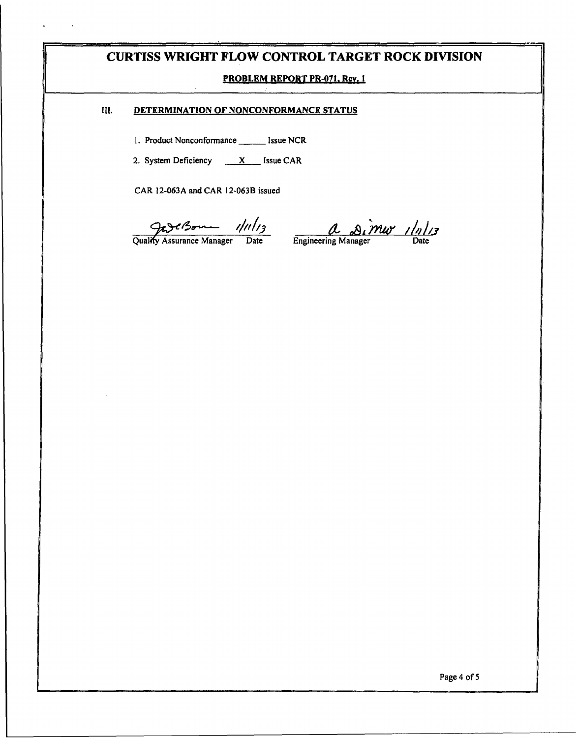### PROBLEM REPORT PR-071, Rev. **I**

### **III. DETERMINATION OF NONCONFORMANCE STATUS**

1. Product Nonconformance \_\_\_\_\_\_\_ Issue NCR

2. System Deficiency  $X$  Issue CAR

CAR 12-063A and CAR 12-063B issued

 $\frac{\partial}{\partial u}$  Manager  $\frac{1}{u^{3}}$   $\frac{\partial}{\partial u}$   $\frac{\partial}{\partial u}$   $\frac{1}{u^{3}}$ 

Page 4 of 5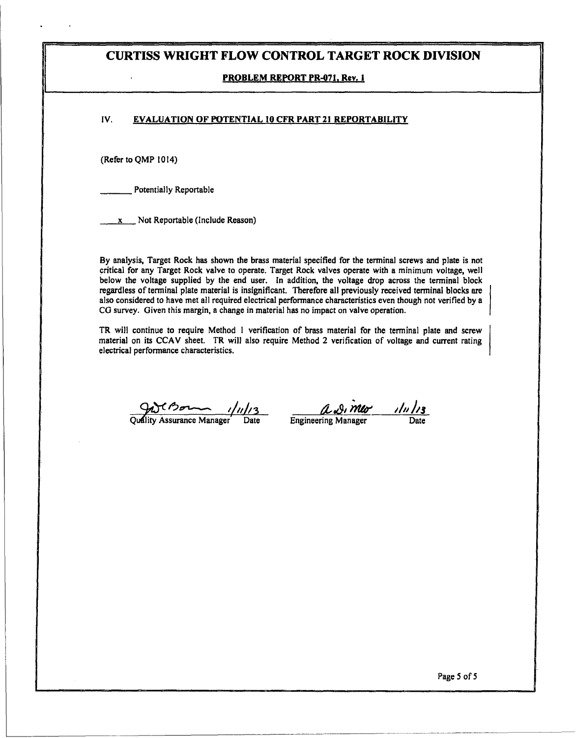#### PROBLEM REPORT PR-071, Rev. **I**

### **IV.** EVALUATION OF **POTENTIAL 10** CFR PART 21 REPORTABILITY

(Refer to QMP 1014)

Potentially Reportable

 $x = Not Reporthable (include Reason)$ 

By analysis, Target Rock has shown the brass material specified for the terminal screws and plate is not critical for any Target Rock valve to operate. Target Rock valves operate with a minimum voltage, well below the voltage supplied by the end user. In addition, the voltage drop across the terminal block regardless of terminal plate material is insignificant. Therefore all previously received terminal blocks are also considered to have met all required electrical performance characteristics even though not verified by a CG

TR will continue to require Method **I** verification of brass material for the terminal plate and screw material on its CCAV sheet. TR will also require Method 2 verification of voltage and current rating electrical performance characteristics.

 $Q_1$ <sup>C</sup> Bo $\sim$  1/11/13  $Q_2$   $Q_1$   $MQ_2$  1/11/13

Page 5 of 5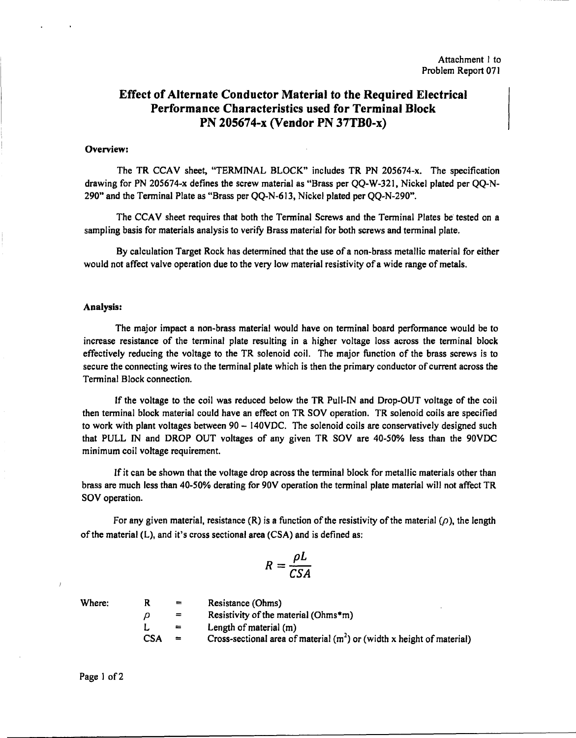# Effect of Alternate Conductor Material to the Required Electrical Performance Characteristics used for Terminal Block **PN** 205674-x (Vendor **PN** 37TB0-x)

#### Overview:

The TR CCAV sheet, "TERMINAL BLOCK" includes TR PN 205674-x. The specification drawing for PN 205674-x defines the screw material as "Brass per QQ-W-321, Nickel plated per QQ-N- 290" and the Terminal Plate as "Brass per QQ-N-613, Nickel plated per QQ-N-290".

The CCAV sheet requires that both the Terminal Screws and the Terminal Plates be tested on a sampling basis for materials analysis to verify Brass material for both screws and terminal plate.

By calculation Target Rock has determined that the use of a non-brass metallic material for either would not affect valve operation due to the very low material resistivity of a wide range of metals.

#### Analysis:

The major impact a non-brass material would have on terminal board performance would be to increase resistance of the terminal plate resulting in a higher voltage loss across the terminal block effectively reducing the voltage to the TR solenoid coil. The major function of the brass screws is to secure the connecting wires to the terminal plate which is then the primary conductor of current across the Terminal Block connection.

If the voltage to the coil was reduced below the TR Pull-IN and Drop-OUT voltage of the coil then terminal block material could have an effect on TR SOV operation. TR solenoid coils are specified to work with plant voltages between 90 - 140VDC. The solenoid coils are conservatively designed such that PULL IN and DROP OUT voltages of any given TR SOV are 40-50% less than the 90VDC minimum coil voltage requirement.

If it can be shown that the voltage drop across the terminal block for metallic materials other than brass are much less than 40-50% derating for 90V operation the terminal plate material will not affect TR SOV operation.

For any given material, resistance (R) is a function of the resistivity of the material ( $\rho$ ), the length of the material (L), and it's cross sectional area (CSA) and is defined as:

$$
R = \frac{\rho L}{CSA}
$$

| Where: | R          | $=$ | Resistance (Ohms)                                                       |
|--------|------------|-----|-------------------------------------------------------------------------|
|        | IJ         | $=$ | Resistivity of the material (Ohms*m)                                    |
|        |            | $=$ | Length of material (m)                                                  |
|        | <b>CSA</b> | $=$ | Cross-sectional area of material $(m2)$ or (width x height of material) |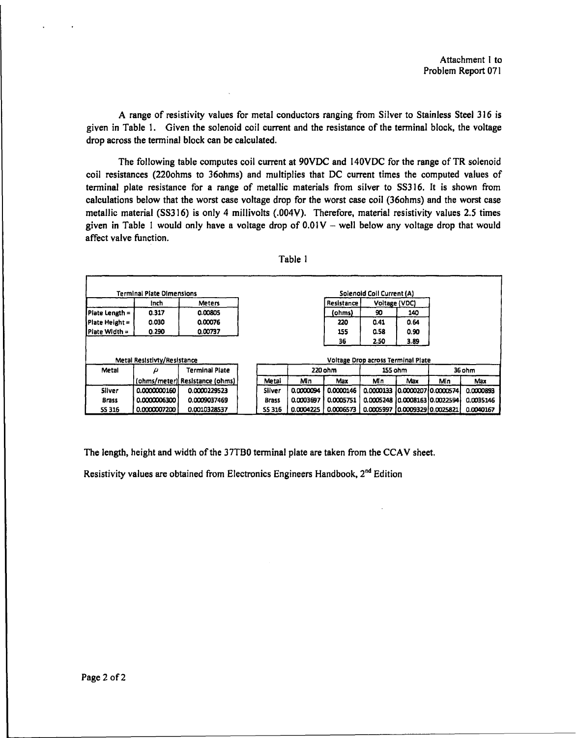A range of resistivity values for metal conductors ranging from Silver to Stainless Steel 316 is given in Table 1. Given the solenoid coil current and the resistance of the terminal block, the voltage drop across the terminal block can be calculated.

The following table computes coil current at 90VDC and 140VDC for the range of TR solenoid coil resistances (220ohms to 36ohms) and multiplies that DC current times the computed values of terminal plate resistance for a range of metallic materials from silver to SS316. It is shown from calculations below that the worst case voltage drop for the worst case coil (36ohms) and the worst case metallic material (SS316) is only 4 millivolts (.004V). Therefore, material resistivity values 2.5 times given in Table 1 would only have a voltage drop of  $0.01V -$  well below any voltage drop that would affect valve function.

|                | <b>Terminal Plate Dimensions</b> |                                |  |               |            |           | Solenoid Coil Current (A)          |                      |        |           |
|----------------|----------------------------------|--------------------------------|--|---------------|------------|-----------|------------------------------------|----------------------|--------|-----------|
|                | Inch                             | <b>Meters</b>                  |  |               | Resistance |           | Voltage (VDC)                      |                      |        |           |
| Piate Length = | 0.317                            | 0.00805                        |  |               |            | (ohms)    | 90                                 | 140                  |        |           |
| Plate Height = | 0.030                            | 0.00076                        |  |               |            | 220       | 0.41                               | 0.64                 |        |           |
| IPlate Width = | 0.290                            | 0.00737                        |  |               |            | 155       | 0.58                               | 0.90                 |        |           |
|                |                                  |                                |  |               |            | 36        | 2.50                               | 3.89                 |        |           |
|                |                                  |                                |  |               |            |           |                                    |                      |        |           |
|                | Metal Resistivty/Resistance      |                                |  |               |            |           | Voltage Drop across Terminal Plate |                      |        |           |
| Metal          | ρ                                | <b>Terminal Plate</b>          |  |               | 220 ohm    |           | 155 ohm                            |                      | 36 ohm |           |
|                |                                  | (ohms/meter) Resistance (ohms) |  | Metal         | Min        | Max       | Mίn                                | Max                  | Min    | Max       |
| Silver         | 0.0000000160                     | 0.0000229523                   |  | Silver        | 0.0000094  | 0.0000146 | 0.0000133                          | 0.000020710.0000574  |        | 0.0000893 |
| <b>Brass</b>   | 0.0000006300                     | 0.0009037469                   |  | <b>Brass</b>  | 0.0003697  | 0.0005751 | 0.0005248                          | 10.000816310.0022594 |        | 0.0035146 |
| <b>5S 316</b>  | 0.0000007200                     | 0.0010328537                   |  | <b>SS 316</b> | 0.0004225  | 0.0006573 | 0.0005997                          | 10.000932910.0025821 |        | 0.0040167 |

The length, height and width of the 37TB0 terminal plate are taken from the CCAV sheet.

Resistivity values are obtained from Electronics Engineers Handbook, 2<sup>nd</sup> Edition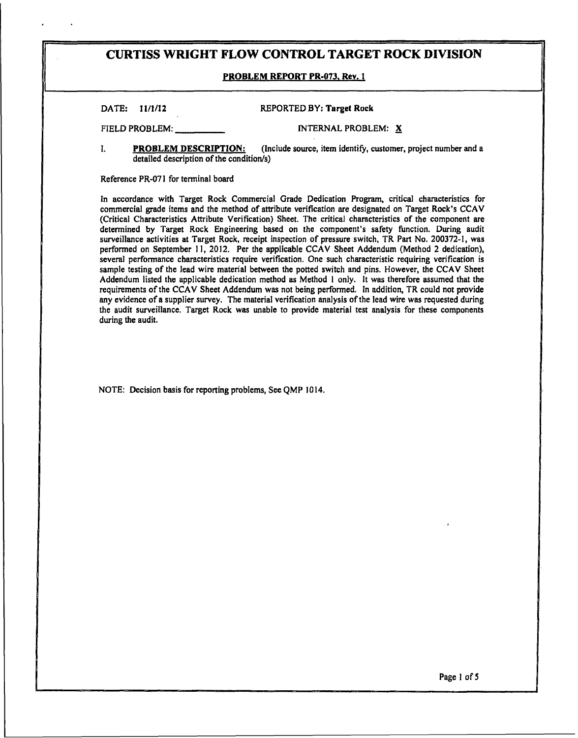#### PROBLEM REPORT PR-073. Rev. **I**

| DATE: 11/1/12 | <b>REPORTED BY: Target Rock</b> |
|---------------|---------------------------------|
|               |                                 |

FIELD PROBLEM: **INTERNAL PROBLEM:** X

I. **PROBLEM DESCRIPTION:** (Include source, item identify, customer, project number and a detailed description of the condition/s)

Reference PR-071 for terminal board

In accordance with Target Rock Commercial Grade Dedication Program, critical characteristics for commercial grade items and the method of attribute verification are designated on Target Rock's CCAV (Critical Characteristics Attribute Verification) Sheet. The critical characteristics of the component are determined by Target Rock Engineering based on the component's safety function. During audit surveillance activities at Target Rock, receipt inspection of pressure switch, TR Part No. 200372-1, was performed on September II, 2012. Per the applicable CCAV Sheet Addendum (Method 2 dedication), several performance characteristics require verification. One such characteristic requiring verification is sample testing of the lead wire material between the potted switch and pins. However, the CCAV Sheet Addendum listed the applicable dedication method as Method I only. It was therefore assumed that the requirements of the CCAV Sheet Addendum was not being performed. In addition, TR could not provide any evidence of a supplier survey. The material verification analysis of the lead wire was requested during the audit surveillance. Target Rock was unable to provide material test analysis for these components during the audit.

NOTE: Decision basis for reporting problems, See QMP **1014.**

Page **I** of *5*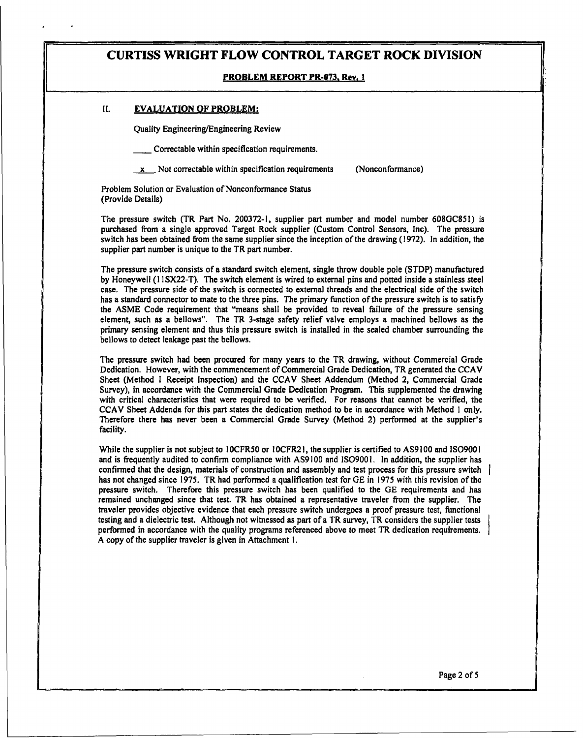#### PROBLEM REPORT PR-073. Rev. **I**

#### **II. EVALUATION OF PROBLEM:**

Quality Engineering/Engineering Review

Correctable within specification requirements.

 $\underline{x}$  Not correctable within specification requirements (Nonconformance)

Problem Solution or Evaluation of Nonconformance Status (Provide Details)

The pressure switch (TR Part No. 200372-1, supplier part number and model number 608GC851) is purchased from a single approved Target Rock supplier (Custom Control Sensors, Inc). The pressure switch has been obtained from the same supplier since the inception of the drawing (1972). In addition, the supplier part number is unique to the TR part number.

The pressure switch consists of a standard switch element, single throw double pole (STDP) manufactured by Honeywell (11 SX22-T). The switch element is wired to external pins and potted inside a stainless steel case. The pressure side of the switch is connected to external threads and the electrical side of the switch has a standard connector to mate to the three pins. The primary function of the pressure switch is to satisfy the ASME Code requirement that "means shall be provided to reveal failure of the pressure sensing element, such primary sensing element and thus this pressure switch is installed in the sealed chamber surrounding the bellows to detect leakage past the bellows.

The pressure switch had been procured for many years to the TR drawing, without Commercial Grade Dedication. However, with the commencement of Commercial Grade Dedication, TR generated the CCAV Sheet (Method I Receipt Inspection) and the CCAV Sheet Addendum (Method 2, Commercial Grade Survey), in accordance with the Commercial Grade Dedication Program. This supplemented the drawing with critical characteristics that were required to be verified. For reasons that cannot be verified, the CCAV Sheet Addenda for this part states the dedication method to be in accordance with Method **I** only. Therefore there has never been a Commercial Grade Survey (Method 2) performed at the supplier's facility.

While the supplier is not subject to **IOCFR50** or **IOCFR21**, the supplier is certified to AS9100 and **ISO9001** and is frequently audited to confirm compliance with AS9100 and IS09001. In addition, the supplier has confirmed that the design, materials of construction and assembly and test process for this pressure switch has not changed since 1975. TR had performed a qualification test for GE in 1975 with this revision of the pressure switch. Therefore this pressure switch has been qualified to the GE requirements and has remained unchanged since that test. TR has obtained a representative traveler from the supplier. The traveler provides objective evidence that each pressure switch undergoes a proof pressure test, functional testing and a dielectric test. Although not witnessed as part of a TR survey, TR considers the supplier tests performed in accordance with the quality programs referenced above to meet TR dedication requirements. A copy of the supplier traveler is given in Attachment I.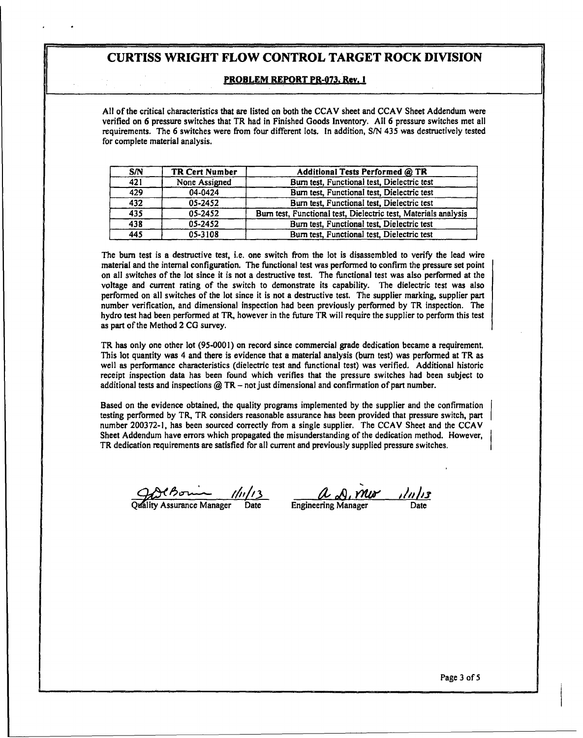#### PROBLEM REPORT PR-073. Rev. **I**

All of the critical characteristics that are listed on both the CCAV sheet and CCAV Sheet Addendum were verified on 6 pressure switches that TR had in Finished Goods Inventory. All 6 pressure switches met all requirements. The 6 switches were from four different lots. In addition, S/N 435 was destructively tested for complet

| <b>S/N</b> | TR Cert Number | Additional Tests Performed @ TR                                 |
|------------|----------------|-----------------------------------------------------------------|
| 421        | None Assigned  | Burn test, Functional test, Dielectric test                     |
| 429        | 04-0424        | Burn test, Functional test, Dielectric test                     |
| 432        | 05-2452        | Burn test, Functional test, Dielectric test                     |
| 435        | 05-2452        | Burn test, Functional test, Dielectric test, Materials analysis |
| 438        | 05-2452        | Burn test, Functional test, Dielectric test                     |
| 445        | 05-3108        | Burn test, Functional test, Dielectric test                     |

The burn test is a destructive test, i.e. one switch from the lot is disassembled to verify the lead wire material and the internal configuration. The functional test was performed to confirm the pressure set point on all switches of the lot since it is not a destructive test. The functional test was also performed at the voltage and current rating of the switch to demonstrate its capability. The dielectric test was also performed on as part of the Method 2 CG survey.

TR has only one other lot (95-0001) on record since commercial grade dedication became a requirement.<br>This lot quantity was 4 and there is evidence that a material analysis (burn test) was performed at TR as well as perfo

Based on the evidence obtained, the quality programs implemented by the supplier and the confirmation testing performed by TR, TR considers reasonable assurance has been provided that pressure switch, part number 200372-1, has been sourced correctly from a single supplier. The CCAV Sheet and the CCAV Sheet Addendum have er  $\overline{\mathbf{r}}$ 

grad C*B J 1/11/13*<br>Quality Assurance Manager Date Engineering Manager Date Date

Page 3 of **5**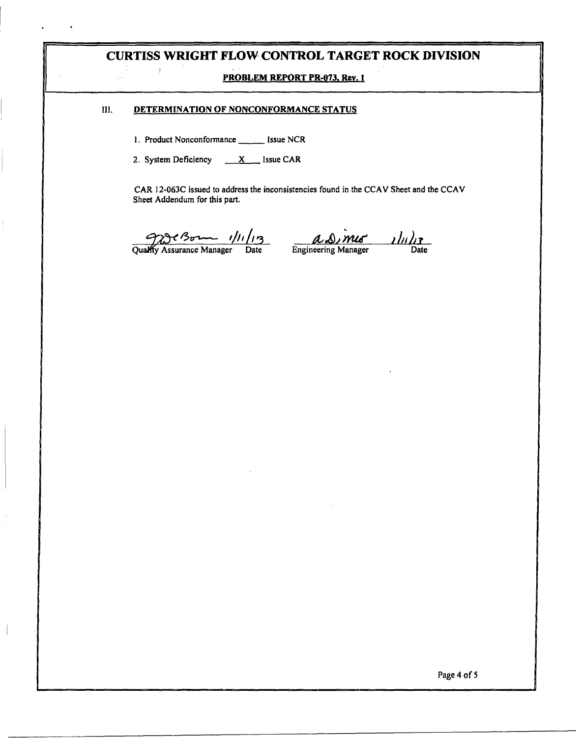### PROBLEM REPORT **PR-073.** Rev. **I**

### III. **DETERMINATION** OF **NONCONFORMANCE STATUS**

1. Product Nonconformance \_\_\_\_\_\_ Issue NCR

 $\overline{t}$ 

2. System Deficiency  $\overline{X}$  Issue CAR

CAR 12-063C issued to address the inconsistencies found in the CCAV Sheet and the CCAV Sheet Addendum for this part.

 $\frac{Q}{Q}$ C Born  $\frac{1}{12}$ <br>QuaMry Assurance Manager Date Engineering Manager Date

Page 4 of 5